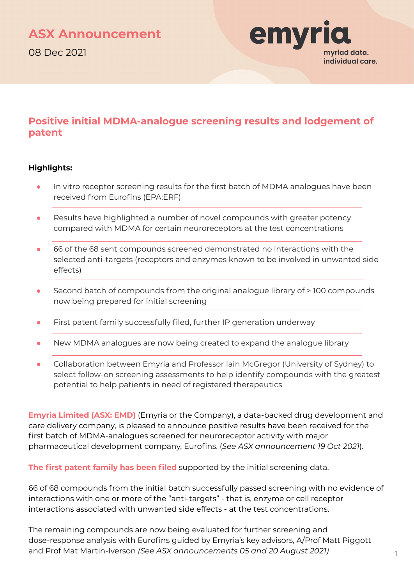

### **Positive initial MDMA-analogue screening results and lodgement of patent**

#### **Highlights:**

- In vitro receptor screening results for the first batch of MDMA analogues have been received from Eurofins (EPA:ERF)
- Results have highlighted a number of novel compounds with greater potency compared with MDMA for certain neuroreceptors at the test concentrations
- 66 of the 68 sent compounds screened demonstrated no interactions with the selected anti-targets (receptors and enzymes known to be involved in unwanted side effects)
- Second batch of compounds from the original analogue library of > 100 compounds now being prepared for initial screening
- First patent family successfully filed, further IP generation underway
- New MDMA analogues are now being created to expand the analogue library
- Collaboration between Emyria and Professor Iain McGregor (University of Sydney) to select follow-on screening assessments to help identify compounds with the greatest potential to help patients in need of registered therapeutics

**Emyria Limited (ASX: EMD)** (Emyria or the Company), a data-backed drug development and care delivery company, is pleased to announce positive results have been received for the first batch of MDMA-analogues screened for neuroreceptor activity with major pharmaceutical development company, Eurofins. (*See ASX announcement 19 Oct 2021*).

**The first patent family has been filed** supported by the initial screening data.

66 of 68 compounds from the initial batch successfully passed screening with no evidence of interactions with one or more of the "anti-targets" - that is, enzyme or cell receptor interactions associated with unwanted side effects - at the test concentrations.

The remaining compounds are now being evaluated for further screening and dose-response analysis with Eurofins guided by Emyria's key advisors, A/Prof Matt Piggott and Prof Mat Martin-Iverson *(See ASX announcements 05 and 20 August 2021)*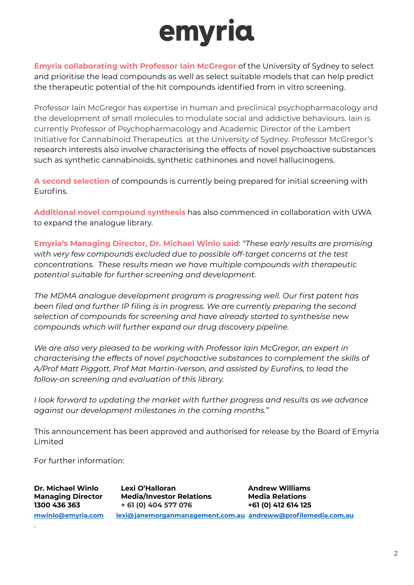# emyria

**Emyria collaborating with Professor Iain McGregor** of the University of Sydney to select and prioritise the lead compounds as well as select suitable models that can help predict the therapeutic potential of the hit compounds identified from in vitro screening.

Professor Iain McGregor has expertise in human and preclinical psychopharmacology and the development of small molecules to modulate social and addictive behaviours. Iain is currently Professor of Psychopharmacology and Academic Director of the Lambert Initiative for Cannabinoid Therapeutics at the University of Sydney. Professor McGregor's research interests also involve characterising the effects of novel psychoactive substances such as synthetic cannabinoids, synthetic cathinones and novel hallucinogens.

**A second selection** of compounds is currently being prepared for initial screening with Eurofins.

**Additional novel compound synthesis** has also commenced in collaboration with UWA to expand the analogue library.

**Emyria's Managing Director, Dr. Michael Winlo said**: *"These early results are promising with very few compounds excluded due to possible off-target concerns at the test concentrations. These results mean we have multiple compounds with therapeutic potential suitable for further screening and development.*

*The MDMA analogue development program is progressing well. Our first patent has been filed and further IP filing is in progress. We are currently preparing the second selection of compounds for screening and have already started to synthesise new compounds which will further expand our drug discovery pipeline.*

*We are also very pleased to be working with Professor Iain McGregor, an expert in characterising the effects of novel psychoactive substances to complement the skills of A/Prof Matt Piggott, Prof Mat Martin-Iverson, and assisted by Eurofins, to lead the follow-on screening and evaluation of this library.*

*I look forward to updating the market with further progress and results as we advance against our development milestones in the coming months."*

This announcement has been approved and authorised for release by the Board of Emyria Limited

For further information:

.

**Dr. Michael Winlo Lexi O'Halloran Andrew Williams Managing Director Media/Investor Relations Media Relations 1300 436 363 + 61 (0) 404 577 076 +61 (0) 412 614 125 [mwinlo@emyria.com](mailto:mwinlo@emyria.com) [lexi@janemorganmanagement.com.au](mailto:lexi@janemorganmanagement.com.au) [andreww@profilemedia.com.au](mailto:andreww@profilemedia.com.au)**